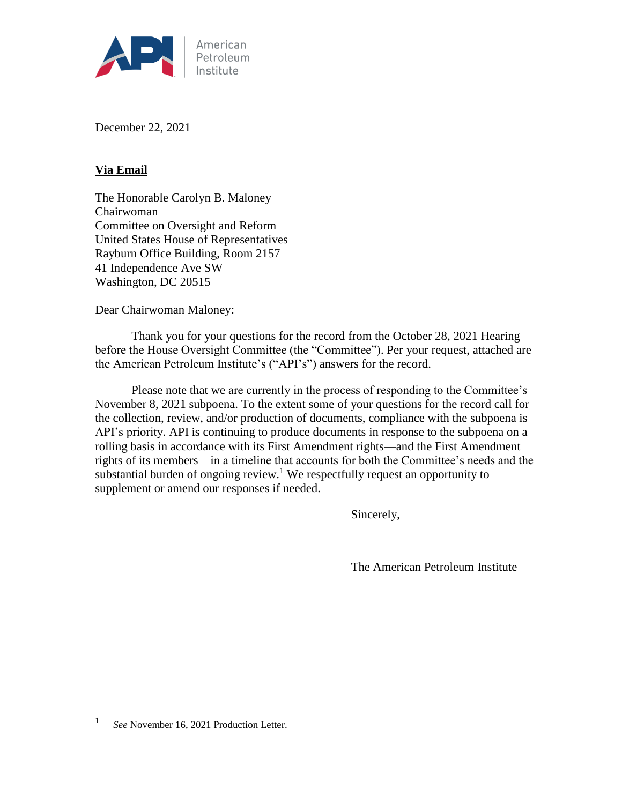

December 22, 2021

# **Via Email**

The Honorable Carolyn B. Maloney Chairwoman Committee on Oversight and Reform United States House of Representatives Rayburn Office Building, Room 2157 41 Independence Ave SW Washington, DC 20515

Dear Chairwoman Maloney:

Thank you for your questions for the record from the October 28, 2021 Hearing before the House Oversight Committee (the "Committee"). Per your request, attached are the American Petroleum Institute's ("API's") answers for the record.

Please note that we are currently in the process of responding to the Committee's November 8, 2021 subpoena. To the extent some of your questions for the record call for the collection, review, and/or production of documents, compliance with the subpoena is API's priority. API is continuing to produce documents in response to the subpoena on a rolling basis in accordance with its First Amendment rights—and the First Amendment rights of its members—in a timeline that accounts for both the Committee's needs and the substantial burden of ongoing review.<sup>1</sup> We respectfully request an opportunity to supplement or amend our responses if needed.

Sincerely,

The American Petroleum Institute

 $\overline{a}$ 

<sup>1</sup> *See* November 16, 2021 Production Letter.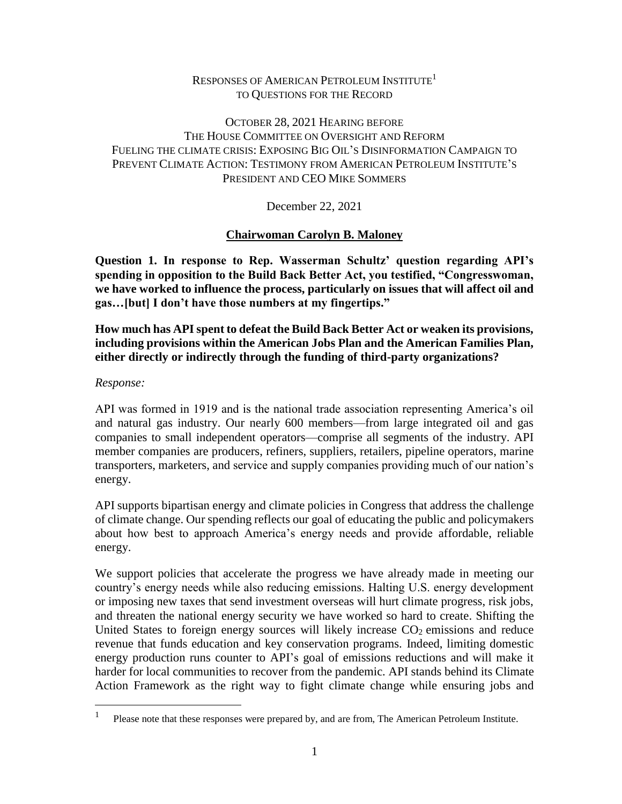### RESPONSES OF AMERICAN PETROLEUM INSTITUTE<sup>1</sup> TO QUESTIONS FOR THE RECORD

## OCTOBER 28, 2021 HEARING BEFORE THE HOUSE COMMITTEE ON OVERSIGHT AND REFORM FUELING THE CLIMATE CRISIS: EXPOSING BIG OIL'S DISINFORMATION CAMPAIGN TO PREVENT CLIMATE ACTION: TESTIMONY FROM AMERICAN PETROLEUM INSTITUTE'S PRESIDENT AND CEO MIKE SOMMERS

December 22, 2021

## **Chairwoman Carolyn B. Maloney**

**Question 1. In response to Rep. Wasserman Schultz' question regarding API's spending in opposition to the Build Back Better Act, you testified, "Congresswoman, we have worked to influence the process, particularly on issues that will affect oil and gas…[but] I don't have those numbers at my fingertips."** 

**How much has API spent to defeat the Build Back Better Act or weaken its provisions, including provisions within the American Jobs Plan and the American Families Plan, either directly or indirectly through the funding of third-party organizations?**

## *Response:*

 $\overline{a}$ 

API was formed in 1919 and is the national trade association representing America's oil and natural gas industry. Our nearly 600 members—from large integrated oil and gas companies to small independent operators—comprise all segments of the industry. API member companies are producers, refiners, suppliers, retailers, pipeline operators, marine transporters, marketers, and service and supply companies providing much of our nation's energy.

API supports bipartisan energy and climate policies in Congress that address the challenge of climate change. Our spending reflects our goal of educating the public and policymakers about how best to approach America's energy needs and provide affordable, reliable energy.

We support policies that accelerate the progress we have already made in meeting our country's energy needs while also reducing emissions. Halting U.S. energy development or imposing new taxes that send investment overseas will hurt climate progress, risk jobs, and threaten the national energy security we have worked so hard to create. Shifting the United States to foreign energy sources will likely increase  $CO<sub>2</sub>$  emissions and reduce revenue that funds education and key conservation programs. Indeed, limiting domestic energy production runs counter to API's goal of emissions reductions and will make it harder for local communities to recover from the pandemic. API stands behind its Climate Action Framework as the right way to fight climate change while ensuring jobs and

<sup>1</sup> Please note that these responses were prepared by, and are from, The American Petroleum Institute.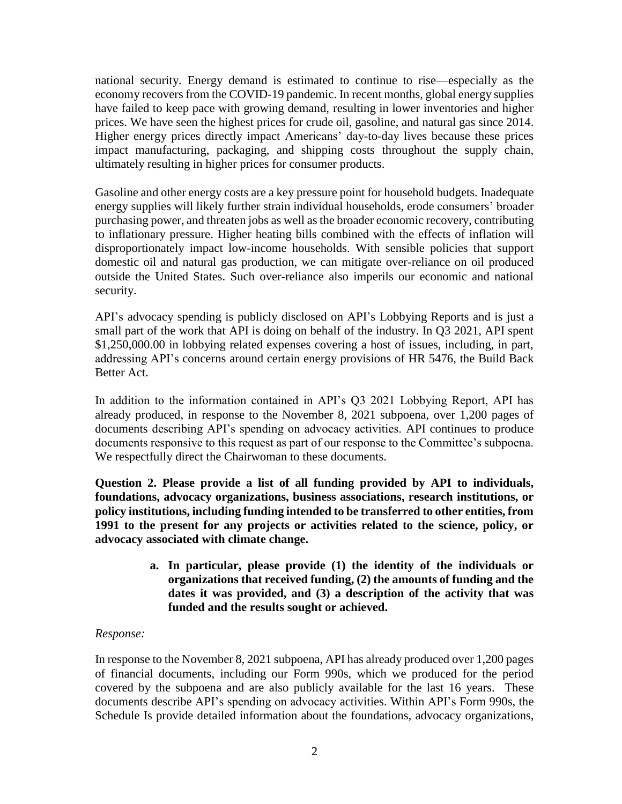national security. Energy demand is estimated to continue to rise—especially as the economy recovers from the COVID-19 pandemic. In recent months, global energy supplies have failed to keep pace with growing demand, resulting in lower inventories and higher prices. We have seen the highest prices for crude oil, gasoline, and natural gas since 2014. Higher energy prices directly impact Americans' day-to-day lives because these prices impact manufacturing, packaging, and shipping costs throughout the supply chain, ultimately resulting in higher prices for consumer products.

Gasoline and other energy costs are a key pressure point for household budgets. Inadequate energy supplies will likely further strain individual households, erode consumers' broader purchasing power, and threaten jobs as well as the broader economic recovery, contributing to inflationary pressure. Higher heating bills combined with the effects of inflation will disproportionately impact low-income households. With sensible policies that support domestic oil and natural gas production, we can mitigate over-reliance on oil produced outside the United States. Such over-reliance also imperils our economic and national security.

API's advocacy spending is publicly disclosed on API's Lobbying Reports and is just a small part of the work that API is doing on behalf of the industry. In Q3 2021, API spent \$1,250,000.00 in lobbying related expenses covering a host of issues, including, in part, addressing API's concerns around certain energy provisions of HR 5476, the Build Back Better Act.

In addition to the information contained in API's Q3 2021 Lobbying Report, API has already produced, in response to the November 8, 2021 subpoena, over 1,200 pages of documents describing API's spending on advocacy activities. API continues to produce documents responsive to this request as part of our response to the Committee's subpoena. We respectfully direct the Chairwoman to these documents.

**Question 2. Please provide a list of all funding provided by API to individuals, foundations, advocacy organizations, business associations, research institutions, or policy institutions, including funding intended to be transferred to other entities, from 1991 to the present for any projects or activities related to the science, policy, or advocacy associated with climate change.**

> **a. In particular, please provide (1) the identity of the individuals or organizations that received funding, (2) the amounts of funding and the dates it was provided, and (3) a description of the activity that was funded and the results sought or achieved.**

### *Response:*

In response to the November 8, 2021 subpoena, API has already produced over 1,200 pages of financial documents, including our Form 990s, which we produced for the period covered by the subpoena and are also publicly available for the last 16 years. These documents describe API's spending on advocacy activities. Within API's Form 990s, the Schedule Is provide detailed information about the foundations, advocacy organizations,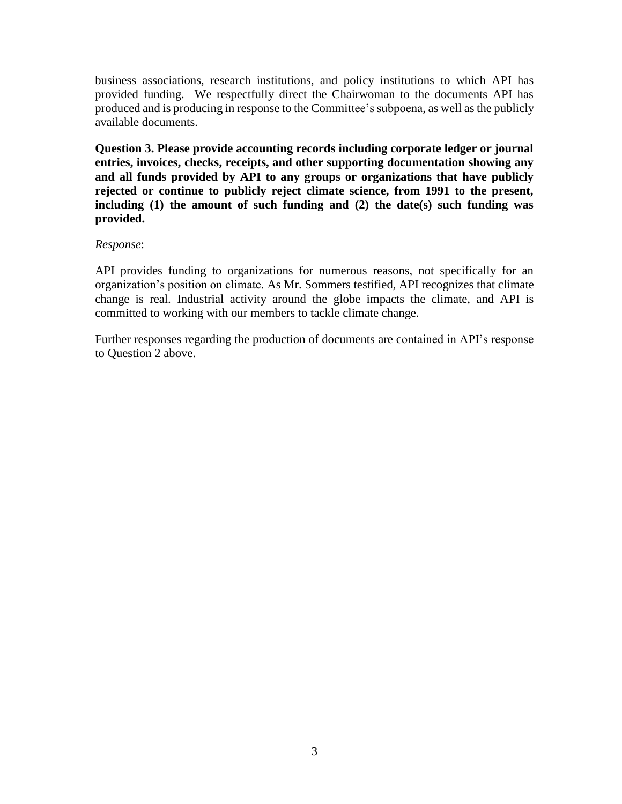business associations, research institutions, and policy institutions to which API has provided funding. We respectfully direct the Chairwoman to the documents API has produced and is producing in response to the Committee's subpoena, as well as the publicly available documents.

**Question 3. Please provide accounting records including corporate ledger or journal entries, invoices, checks, receipts, and other supporting documentation showing any and all funds provided by API to any groups or organizations that have publicly rejected or continue to publicly reject climate science, from 1991 to the present, including (1) the amount of such funding and (2) the date(s) such funding was provided.**

#### *Response*:

API provides funding to organizations for numerous reasons, not specifically for an organization's position on climate. As Mr. Sommers testified, API recognizes that climate change is real. Industrial activity around the globe impacts the climate, and API is committed to working with our members to tackle climate change.

Further responses regarding the production of documents are contained in API's response to Question 2 above.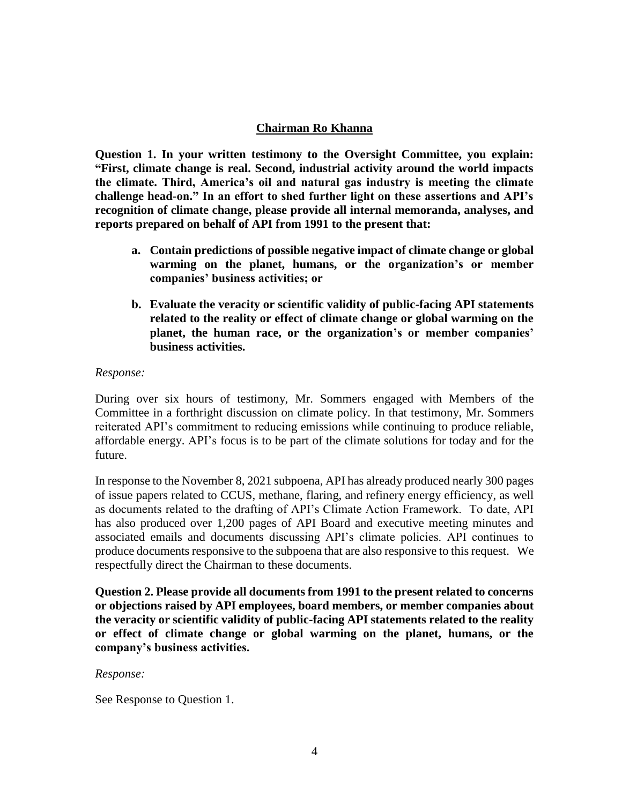### **Chairman Ro Khanna**

**Question 1. In your written testimony to the Oversight Committee, you explain: "First, climate change is real. Second, industrial activity around the world impacts the climate. Third, America's oil and natural gas industry is meeting the climate challenge head-on." In an effort to shed further light on these assertions and API's recognition of climate change, please provide all internal memoranda, analyses, and reports prepared on behalf of API from 1991 to the present that:**

- **a. Contain predictions of possible negative impact of climate change or global warming on the planet, humans, or the organization's or member companies' business activities; or**
- **b. Evaluate the veracity or scientific validity of public-facing API statements related to the reality or effect of climate change or global warming on the planet, the human race, or the organization's or member companies' business activities.**

#### *Response:*

During over six hours of testimony, Mr. Sommers engaged with Members of the Committee in a forthright discussion on climate policy. In that testimony, Mr. Sommers reiterated API's commitment to reducing emissions while continuing to produce reliable, affordable energy. API's focus is to be part of the climate solutions for today and for the future.

In response to the November 8, 2021 subpoena, API has already produced nearly 300 pages of issue papers related to CCUS, methane, flaring, and refinery energy efficiency, as well as documents related to the drafting of API's Climate Action Framework. To date, API has also produced over 1,200 pages of API Board and executive meeting minutes and associated emails and documents discussing API's climate policies. API continues to produce documents responsive to the subpoena that are also responsive to this request. We respectfully direct the Chairman to these documents.

**Question 2. Please provide all documents from 1991 to the present related to concerns or objections raised by API employees, board members, or member companies about the veracity or scientific validity of public-facing API statements related to the reality or effect of climate change or global warming on the planet, humans, or the company's business activities.**

#### *Response:*

See Response to Question 1.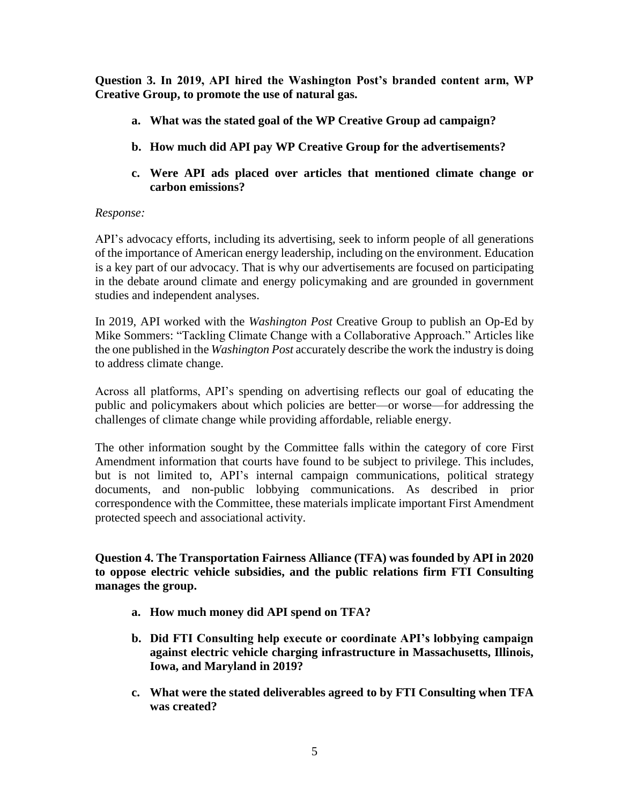**Question 3. In 2019, API hired the Washington Post's branded content arm, WP Creative Group, to promote the use of natural gas.**

- **a. What was the stated goal of the WP Creative Group ad campaign?**
- **b. How much did API pay WP Creative Group for the advertisements?**
- **c. Were API ads placed over articles that mentioned climate change or carbon emissions?**

## *Response:*

API's advocacy efforts, including its advertising, seek to inform people of all generations of the importance of American energy leadership, including on the environment. Education is a key part of our advocacy. That is why our advertisements are focused on participating in the debate around climate and energy policymaking and are grounded in government studies and independent analyses.

In 2019, API worked with the *Washington Post* Creative Group to publish an Op-Ed by Mike Sommers: "Tackling Climate Change with a Collaborative Approach." Articles like the one published in the *Washington Post* accurately describe the work the industry is doing to address climate change.

Across all platforms, API's spending on advertising reflects our goal of educating the public and policymakers about which policies are better—or worse—for addressing the challenges of climate change while providing affordable, reliable energy.

The other information sought by the Committee falls within the category of core First Amendment information that courts have found to be subject to privilege. This includes, but is not limited to, API's internal campaign communications, political strategy documents, and non-public lobbying communications. As described in prior correspondence with the Committee, these materials implicate important First Amendment protected speech and associational activity.

**Question 4. The Transportation Fairness Alliance (TFA) was founded by API in 2020 to oppose electric vehicle subsidies, and the public relations firm FTI Consulting manages the group.**

- **a. How much money did API spend on TFA?**
- **b. Did FTI Consulting help execute or coordinate API's lobbying campaign against electric vehicle charging infrastructure in Massachusetts, Illinois, Iowa, and Maryland in 2019?**
- **c. What were the stated deliverables agreed to by FTI Consulting when TFA was created?**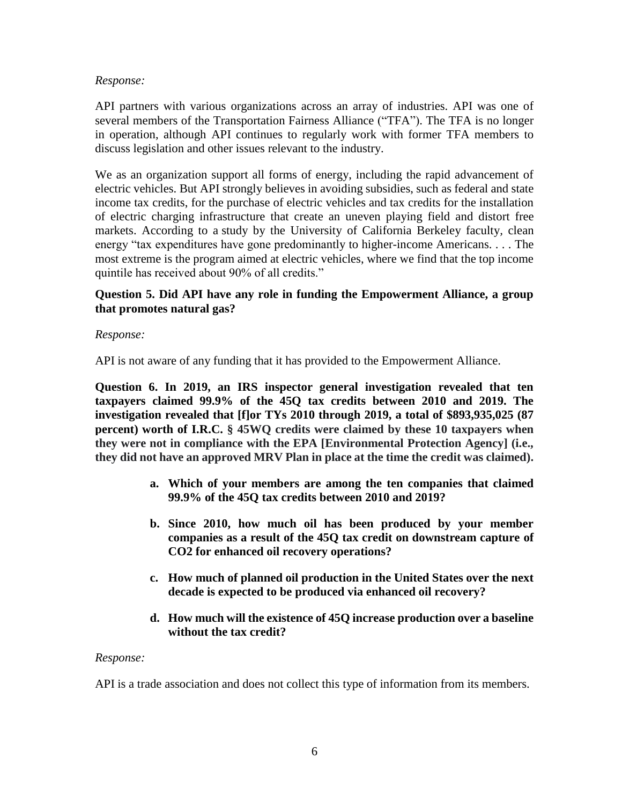### *Response:*

API partners with various organizations across an array of industries. API was one of several members of the Transportation Fairness Alliance ("TFA"). The TFA is no longer in operation, although API continues to regularly work with former TFA members to discuss legislation and other issues relevant to the industry.

We as an organization support all forms of energy, including the rapid advancement of electric vehicles. But API strongly believes in avoiding subsidies, such as federal and state income tax credits, for the purchase of electric vehicles and tax credits for the installation of electric charging infrastructure that create an uneven playing field and distort free markets. According to a study by the University of California Berkeley faculty*,* clean energy "tax expenditures have gone predominantly to higher-income Americans. . . . The most extreme is the program aimed at electric vehicles, where we find that the top income quintile has received about 90% of all credits."

## **Question 5. Did API have any role in funding the Empowerment Alliance, a group that promotes natural gas?**

## *Response:*

API is not aware of any funding that it has provided to the Empowerment Alliance.

**Question 6. In 2019, an IRS inspector general investigation revealed that ten taxpayers claimed 99.9% of the 45Q tax credits between 2010 and 2019. The investigation revealed that [f]or TYs 2010 through 2019, a total of \$893,935,025 (87 percent) worth of I.R.C. § 45WQ credits were claimed by these 10 taxpayers when they were not in compliance with the EPA [Environmental Protection Agency] (i.e., they did not have an approved MRV Plan in place at the time the credit was claimed).**

- **a. Which of your members are among the ten companies that claimed 99.9% of the 45Q tax credits between 2010 and 2019?**
- **b. Since 2010, how much oil has been produced by your member companies as a result of the 45Q tax credit on downstream capture of CO2 for enhanced oil recovery operations?**
- **c. How much of planned oil production in the United States over the next decade is expected to be produced via enhanced oil recovery?**
- **d. How much will the existence of 45Q increase production over a baseline without the tax credit?**

### *Response:*

API is a trade association and does not collect this type of information from its members.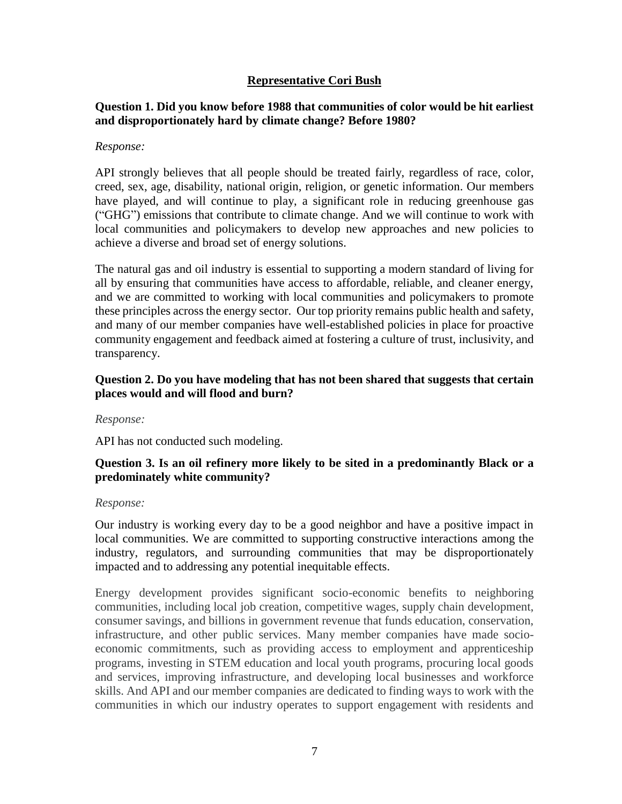## **Representative Cori Bush**

## **Question 1. Did you know before 1988 that communities of color would be hit earliest and disproportionately hard by climate change? Before 1980?**

#### *Response:*

API strongly believes that all people should be treated fairly, regardless of race, color, creed, sex, age, disability, national origin, religion, or genetic information. Our members have played, and will continue to play, a significant role in reducing greenhouse gas ("GHG") emissions that contribute to climate change. And we will continue to work with local communities and policymakers to develop new approaches and new policies to achieve a diverse and broad set of energy solutions.

The natural gas and oil industry is essential to supporting a modern standard of living for all by ensuring that communities have access to affordable, reliable, and cleaner energy, and we are committed to working with local communities and policymakers to promote these principles across the energy sector. Our top priority remains public health and safety, and many of our member companies have well-established policies in place for proactive community engagement and feedback aimed at fostering a culture of trust, inclusivity, and transparency.

### **Question 2. Do you have modeling that has not been shared that suggests that certain places would and will flood and burn?**

*Response:*

API has not conducted such modeling.

## **Question 3. Is an oil refinery more likely to be sited in a predominantly Black or a predominately white community?**

#### *Response:*

Our industry is working every day to be a good neighbor and have a positive impact in local communities. We are committed to supporting constructive interactions among the industry, regulators, and surrounding communities that may be disproportionately impacted and to addressing any potential inequitable effects.

Energy development provides significant socio-economic benefits to neighboring communities, including local job creation, competitive wages, supply chain development, consumer savings, and billions in government revenue that funds education, conservation, infrastructure, and other public services. Many member companies have made socioeconomic commitments, such as providing access to employment and apprenticeship programs, investing in STEM education and local youth programs, procuring local goods and services, improving infrastructure, and developing local businesses and workforce skills. And API and our member companies are dedicated to finding ways to work with the communities in which our industry operates to support engagement with residents and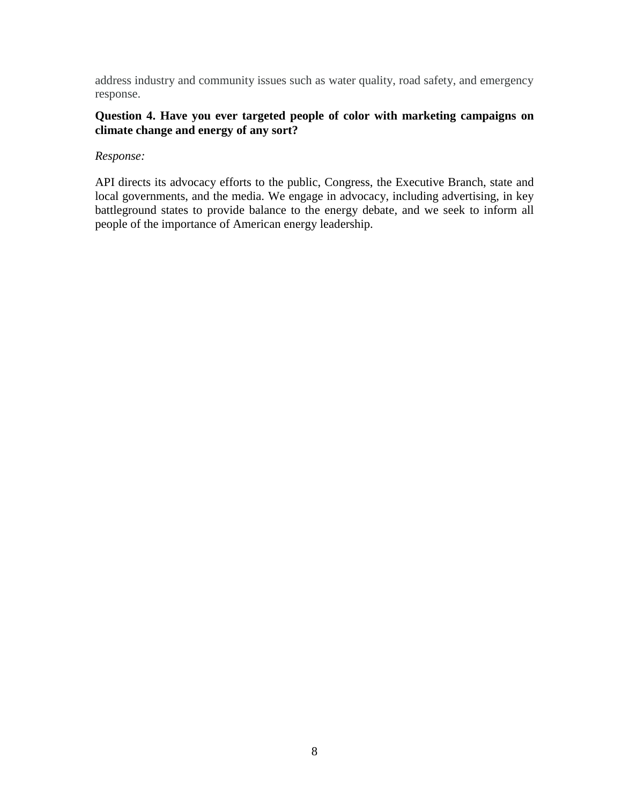address industry and community issues such as water quality, road safety, and emergency response.

## **Question 4. Have you ever targeted people of color with marketing campaigns on climate change and energy of any sort?**

## *Response:*

API directs its advocacy efforts to the public, Congress, the Executive Branch, state and local governments, and the media. We engage in advocacy, including advertising, in key battleground states to provide balance to the energy debate, and we seek to inform all people of the importance of American energy leadership.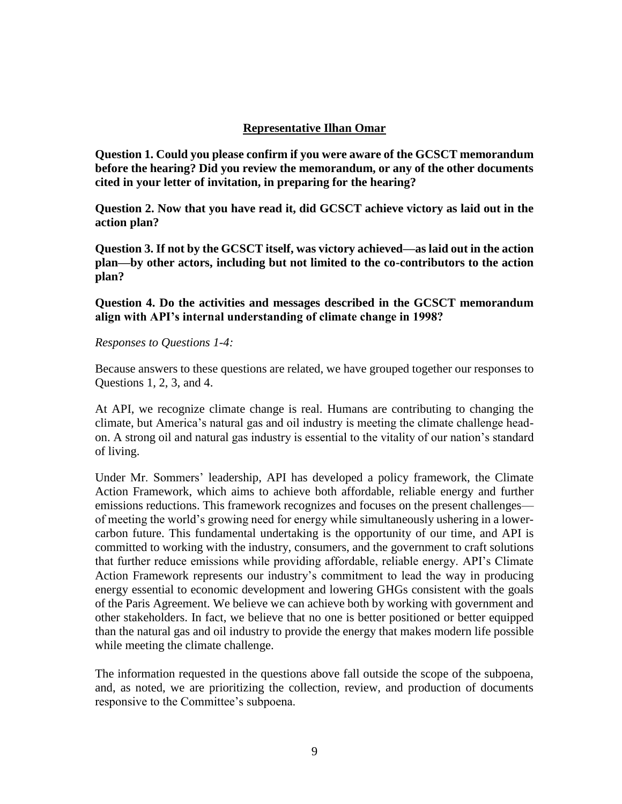### **Representative Ilhan Omar**

**Question 1. Could you please confirm if you were aware of the GCSCT memorandum before the hearing? Did you review the memorandum, or any of the other documents cited in your letter of invitation, in preparing for the hearing?**

**Question 2. Now that you have read it, did GCSCT achieve victory as laid out in the action plan?**

**Question 3. If not by the GCSCT itself, was victory achieved—as laid out in the action plan—by other actors, including but not limited to the co-contributors to the action plan?**

**Question 4. Do the activities and messages described in the GCSCT memorandum align with API's internal understanding of climate change in 1998?**

#### *Responses to Questions 1-4:*

Because answers to these questions are related, we have grouped together our responses to Questions 1, 2, 3, and 4.

At API, we recognize climate change is real. Humans are contributing to changing the climate, but America's natural gas and oil industry is meeting the climate challenge headon. A strong oil and natural gas industry is essential to the vitality of our nation's standard of living.

Under Mr. Sommers' leadership, API has developed a policy framework, the Climate Action Framework, which aims to achieve both affordable, reliable energy and further emissions reductions. This framework recognizes and focuses on the present challenges of meeting the world's growing need for energy while simultaneously ushering in a lowercarbon future. This fundamental undertaking is the opportunity of our time, and API is committed to working with the industry, consumers, and the government to craft solutions that further reduce emissions while providing affordable, reliable energy. API's Climate Action Framework represents our industry's commitment to lead the way in producing energy essential to economic development and lowering GHGs consistent with the goals of the Paris Agreement. We believe we can achieve both by working with government and other stakeholders. In fact, we believe that no one is better positioned or better equipped than the natural gas and oil industry to provide the energy that makes modern life possible while meeting the climate challenge.

The information requested in the questions above fall outside the scope of the subpoena, and, as noted, we are prioritizing the collection, review, and production of documents responsive to the Committee's subpoena.